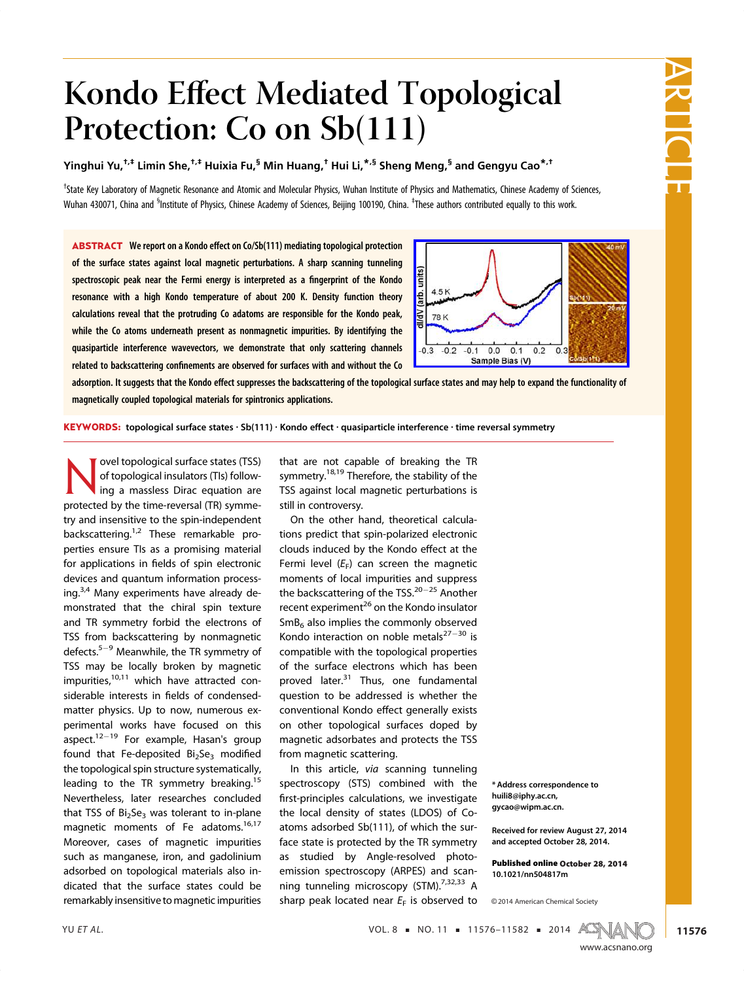# Kondo Effect Mediated Topological Protection: Co on Sb(111)

Yinghui Yu,†,‡ Limin She,†,‡ Huixia Fu,§ Min Huang,† Hui Li,\*,§ Sheng Meng,§ and Gengyu Cao\*,†

<sup>†</sup>State Key Laboratory of Magnetic Resonance and Atomic and Molecular Physics, Wuhan Institute of Physics and Mathematics, Chinese Academy of Sciences, Wuhan 430071, China and <sup>s</sup>Institute of Physics, Chinese Academy of Sciences, Beijing 100190, China. <sup>‡</sup>These authors contributed equally to this work.

ABSTRACT We report on a Kondo effect on Co/Sb(111) mediating topological protection of the surface states against local magnetic perturbations. A sharp scanning tunneling spectroscopic peak near the Fermi energy is interpreted as a fingerprint of the Kondo resonance with a high Kondo temperature of about 200 K. Density function theory calculations reveal that the protruding Co adatoms are responsible for the Kondo peak, while the Co atoms underneath present as nonmagnetic impurities. By identifying the quasiparticle interference wavevectors, we demonstrate that only scattering channels related to backscattering confinements are observed for surfaces with and without the Co



adsorption. It suggests that the Kondo effect suppresses the backscattering of the topological surface states and may help to expand the functionality of magnetically coupled topological materials for spintronics applications.

KEYWORDS: topological surface states · Sb(111) · Kondo effect · quasiparticle interference · time reversal symmetry

**Novel topological surface states (TSS)**<br>
of topological insulators (TIs) follow-<br>
ing a massless Dirac equation are of topological insulators (TIs) followprotected by the time-reversal (TR) symmetry and insensitive to the spin-independent backscattering.<sup>1,2</sup> These remarkable properties ensure TIs as a promising material for applications in fields of spin electronic devices and quantum information processing.3,4 Many experiments have already demonstrated that the chiral spin texture and TR symmetry forbid the electrons of TSS from backscattering by nonmagnetic defects. $5-9$  Meanwhile, the TR symmetry of TSS may be locally broken by magnetic impurities.<sup>10,11</sup> which have attracted considerable interests in fields of condensedmatter physics. Up to now, numerous experimental works have focused on this aspect.<sup>12-19</sup> For example, Hasan's group found that Fe-deposited  $Bi<sub>2</sub>Se<sub>3</sub>$  modified the topological spin structure systematically, leading to the TR symmetry breaking.<sup>15</sup> Nevertheless, later researches concluded that TSS of  $Bi<sub>2</sub>Se<sub>3</sub>$  was tolerant to in-plane magnetic moments of Fe adatoms.<sup>16,17</sup> Moreover, cases of magnetic impurities such as manganese, iron, and gadolinium adsorbed on topological materials also indicated that the surface states could be remarkably insensitive to magnetic impurities

that are not capable of breaking the TR symmetry.<sup>18,19</sup> Therefore, the stability of the TSS against local magnetic perturbations is still in controversy.

On the other hand, theoretical calculations predict that spin-polarized electronic clouds induced by the Kondo effect at the Fermi level  $(E_F)$  can screen the magnetic moments of local impurities and suppress the backscattering of the TSS. $20-25$  Another recent experiment<sup>26</sup> on the Kondo insulator  $SmB<sub>6</sub>$  also implies the commonly observed Kondo interaction on noble metals $27-30$  is compatible with the topological properties of the surface electrons which has been proved later.<sup>31</sup> Thus, one fundamental question to be addressed is whether the conventional Kondo effect generally exists on other topological surfaces doped by magnetic adsorbates and protects the TSS from magnetic scattering.

In this article, via scanning tunneling spectroscopy (STS) combined with the first-principles calculations, we investigate the local density of states (LDOS) of Coatoms adsorbed Sb(111), of which the surface state is protected by the TR symmetry as studied by Angle-resolved photoemission spectroscopy (ARPES) and scanning tunneling microscopy (STM).<sup>7,32,33</sup> A sharp peak located near  $E_F$  is observed to

\* Address correspondence to huili8@iphy.ac.cn, gycao@wipm.ac.cn.

Received for review August 27, 2014 and accepted October 28, 2014.

Published online October 28, 2014 10.1021/nn504817m

<sup>C</sup> 2014 American Chemical Society

YU ET AL.  $\text{VOL. 8} \cdot \text{NO. 11} \cdot \text{11576} - 11582 = 2014 \text{ ACMA}$ 



ARTICLE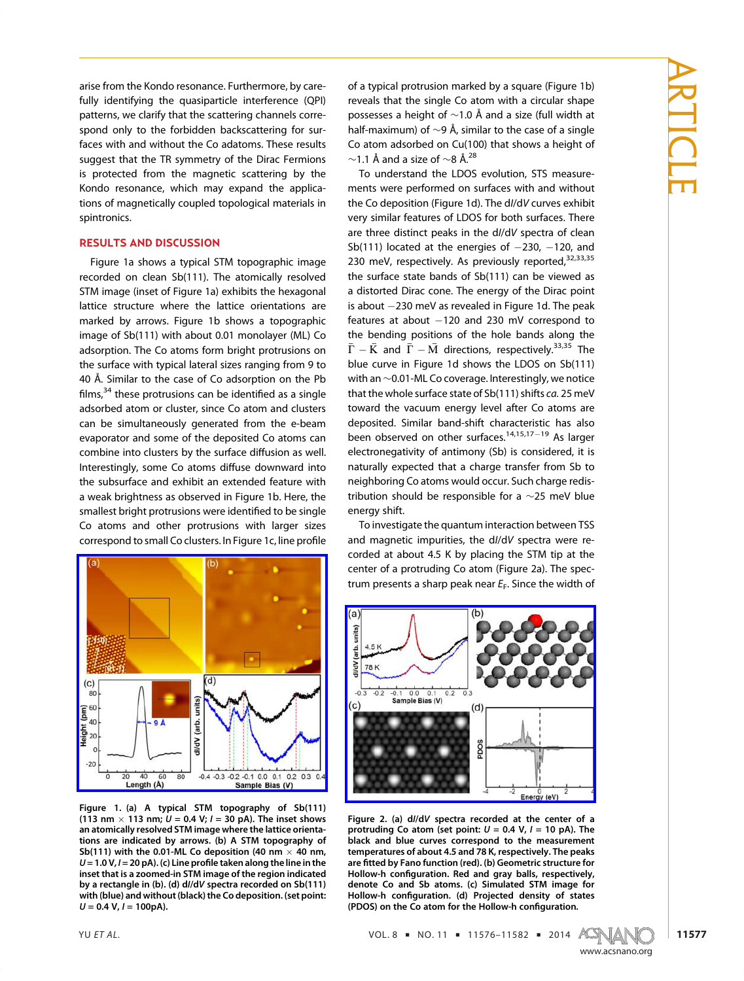arise from the Kondo resonance. Furthermore, by carefully identifying the quasiparticle interference (QPI) patterns, we clarify that the scattering channels correspond only to the forbidden backscattering for surfaces with and without the Co adatoms. These results suggest that the TR symmetry of the Dirac Fermions is protected from the magnetic scattering by the Kondo resonance, which may expand the applications of magnetically coupled topological materials in spintronics.

## RESULTS AND DISCUSSION

Figure 1a shows a typical STM topographic image recorded on clean Sb(111). The atomically resolved STM image (inset of Figure 1a) exhibits the hexagonal lattice structure where the lattice orientations are marked by arrows. Figure 1b shows a topographic image of Sb(111) with about 0.01 monolayer (ML) Co adsorption. The Co atoms form bright protrusions on the surface with typical lateral sizes ranging from 9 to 40 Å. Similar to the case of Co adsorption on the Pb films, $34$  these protrusions can be identified as a single adsorbed atom or cluster, since Co atom and clusters can be simultaneously generated from the e-beam evaporator and some of the deposited Co atoms can combine into clusters by the surface diffusion as well. Interestingly, some Co atoms diffuse downward into the subsurface and exhibit an extended feature with a weak brightness as observed in Figure 1b. Here, the smallest bright protrusions were identified to be single Co atoms and other protrusions with larger sizes correspond to small Co clusters. In Figure 1c, line profile



Figure 1. (a) A typical STM topography of Sb(111) (113 nm  $\times$  113 nm;  $U = 0.4$  V;  $I = 30$  pA). The inset shows an atomically resolved STM image where the lattice orientations are indicated by arrows. (b) A STM topography of Sb(111) with the 0.01-ML Co deposition (40 nm  $\times$  40 nm,  $U = 1.0 V$ ,  $I = 20 pA$ ). (c) Line profile taken along the line in the inset that is a zoomed-in STM image of the region indicated by a rectangle in (b). (d) dI/dV spectra recorded on Sb(111) with (blue) and without (black) the Co deposition. (set point:  $U = 0.4 V$ ,  $I = 100pA$ ).

of a typical protrusion marked by a square (Figure 1b) reveals that the single Co atom with a circular shape possesses a height of  $\sim$ 1.0 Å and a size (full width at half-maximum) of ∼9 Å, similar to the case of a single Co atom adsorbed on Cu(100) that shows a height of  $∼1.1$  Å and a size of  $∼8$  Å.<sup>28</sup>

To understand the LDOS evolution, STS measurements were performed on surfaces with and without the Co deposition (Figure 1d). The dI/dV curves exhibit very similar features of LDOS for both surfaces. There are three distinct peaks in the dI/dV spectra of clean Sb(111) located at the energies of  $-230$ ,  $-120$ , and 230 meV, respectively. As previously reported,<sup>32,33,35</sup> the surface state bands of Sb(111) can be viewed as a distorted Dirac cone. The energy of the Dirac point is about  $-230$  meV as revealed in Figure 1d. The peak features at about  $-120$  and 230 mV correspond to the bending positions of the hole bands along the  $\bar{\Gamma}-\bar{\rm K}$  and  $\bar{\Gamma}-\bar{\rm M}$  directions, respectively.<sup>33,35</sup> The blue curve in Figure 1d shows the LDOS on Sb(111) with an ∼0.01-ML Co coverage. Interestingly, we notice that the whole surface state of Sb(111) shifts ca. 25 meV toward the vacuum energy level after Co atoms are deposited. Similar band-shift characteristic has also been observed on other surfaces.<sup>14,15,17-19</sup> As larger electronegativity of antimony (Sb) is considered, it is naturally expected that a charge transfer from Sb to neighboring Co atoms would occur. Such charge redistribution should be responsible for a ∼25 meV blue energy shift.

To investigate the quantum interaction between TSS and magnetic impurities, the dI/dV spectra were recorded at about 4.5 K by placing the STM tip at the center of a protruding Co atom (Figure 2a). The spectrum presents a sharp peak near  $E_F$ . Since the width of



Figure 2. (a) dI/dV spectra recorded at the center of a protruding Co atom (set point:  $U = 0.4$  V,  $I = 10$  pA). The black and blue curves correspond to the measurement temperatures of about 4.5 and 78 K, respectively. The peaks are fitted by Fano function (red). (b) Geometric structure for Hollow-h configuration. Red and gray balls, respectively, denote Co and Sb atoms. (c) Simulated STM image for Hollow-h configuration. (d) Projected density of states (PDOS) on the Co atom for the Hollow-h configuration.

YU ET AL. VOL. 8 ' NO. 11 ' 11576–11582 ' 2014



www.accom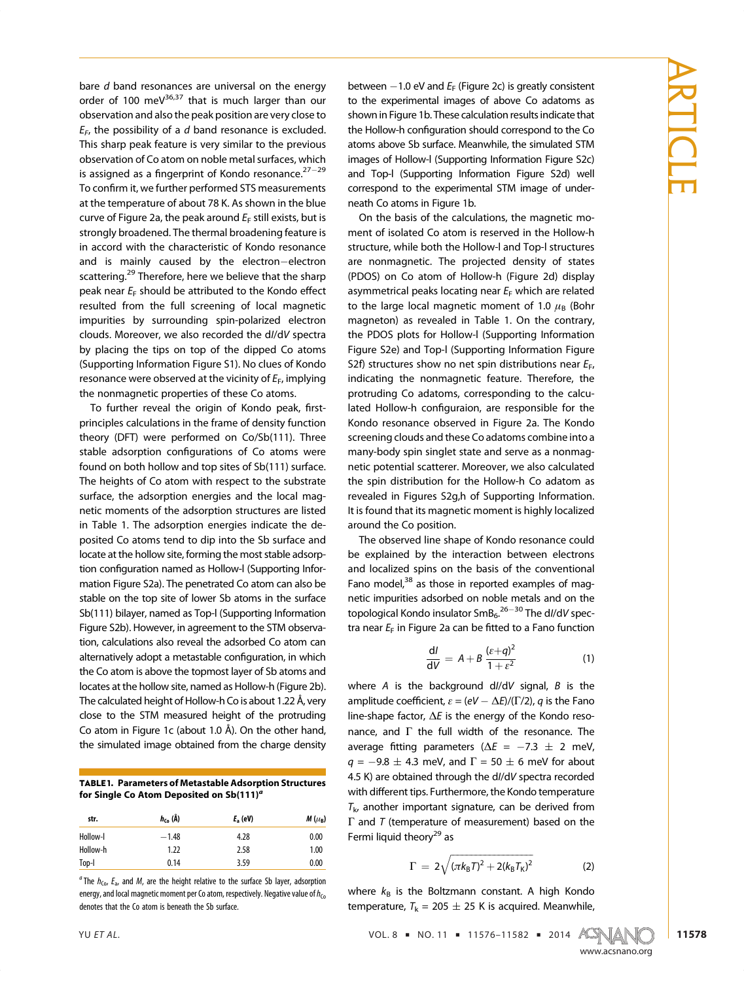bare  $d$  band resonances are universal on the energy order of 100 meV $36,37$  that is much larger than our observation and also the peak position are very close to  $E_F$ , the possibility of a d band resonance is excluded. This sharp peak feature is very similar to the previous observation of Co atom on noble metal surfaces, which is assigned as a fingerprint of Kondo resonance. $27-29$ To confirm it, we further performed STS measurements at the temperature of about 78 K. As shown in the blue curve of Figure 2a, the peak around  $E_F$  still exists, but is strongly broadened. The thermal broadening feature is in accord with the characteristic of Kondo resonance and is mainly caused by the electron-electron scattering.<sup>29</sup> Therefore, here we believe that the sharp peak near  $E_F$  should be attributed to the Kondo effect resulted from the full screening of local magnetic impurities by surrounding spin-polarized electron clouds. Moreover, we also recorded the dI/dV spectra by placing the tips on top of the dipped Co atoms (Supporting Information Figure S1). No clues of Kondo resonance were observed at the vicinity of  $E_F$ , implying the nonmagnetic properties of these Co atoms.

To further reveal the origin of Kondo peak, firstprinciples calculations in the frame of density function theory (DFT) were performed on Co/Sb(111). Three stable adsorption configurations of Co atoms were found on both hollow and top sites of Sb(111) surface. The heights of Co atom with respect to the substrate surface, the adsorption energies and the local magnetic moments of the adsorption structures are listed in Table 1. The adsorption energies indicate the deposited Co atoms tend to dip into the Sb surface and locate at the hollow site, forming the most stable adsorption configuration named as Hollow-l (Supporting Information Figure S2a). The penetrated Co atom can also be stable on the top site of lower Sb atoms in the surface Sb(111) bilayer, named as Top-l (Supporting Information Figure S2b). However, in agreement to the STM observation, calculations also reveal the adsorbed Co atom can alternatively adopt a metastable configuration, in which the Co atom is above the topmost layer of Sb atoms and locates at the hollow site, named as Hollow-h (Figure 2b). The calculated height of Hollow-h Co is about 1.22 Å, very close to the STM measured height of the protruding Co atom in Figure 1c (about 1.0 Å). On the other hand, the simulated image obtained from the charge density

| <b>TABLE 1. Parameters of Metastable Adsorption Structures</b> |
|----------------------------------------------------------------|
| for Single Co Atom Deposited on Sb(111) <sup>a</sup>           |

| str.     | $h_{\text{ca}}(\AA)$ | $F_a$ (eV) | $M(\mu_B)$ |
|----------|----------------------|------------|------------|
| Hollow-I | $-1.48$              | 4.28       | 0.00       |
| Hollow-h | 1.22                 | 2.58       | 1.00       |
| Top-I    | 0.14                 | 3.59       | 0.00       |
|          |                      |            |            |

<sup>a</sup> The  $h_{\text{Co}}$ ,  $E_{\text{a}}$ , and M, are the height relative to the surface Sb layer, adsorption energy, and local magnetic moment per Co atom, respectively. Negative value of  $h_{Co}$ denotes that the Co atom is beneath the Sb surface.

between  $-1.0$  eV and  $E_F$  (Figure 2c) is greatly consistent to the experimental images of above Co adatoms as shown in Figure 1b. These calculation results indicate that the Hollow-h configuration should correspond to the Co atoms above Sb surface. Meanwhile, the simulated STM images of Hollow-l (Supporting Information Figure S2c) and Top-l (Supporting Information Figure S2d) well correspond to the experimental STM image of underneath Co atoms in Figure 1b.

On the basis of the calculations, the magnetic moment of isolated Co atom is reserved in the Hollow-h structure, while both the Hollow-l and Top-l structures are nonmagnetic. The projected density of states (PDOS) on Co atom of Hollow-h (Figure 2d) display asymmetrical peaks locating near  $E_F$  which are related to the large local magnetic moment of 1.0  $\mu$ <sub>B</sub> (Bohr magneton) as revealed in Table 1. On the contrary, the PDOS plots for Hollow-l (Supporting Information Figure S2e) and Top-l (Supporting Information Figure S2f) structures show no net spin distributions near  $E_F$ , indicating the nonmagnetic feature. Therefore, the protruding Co adatoms, corresponding to the calculated Hollow-h configuraion, are responsible for the Kondo resonance observed in Figure 2a. The Kondo screening clouds and these Co adatoms combine into a many-body spin singlet state and serve as a nonmagnetic potential scatterer. Moreover, we also calculated the spin distribution for the Hollow-h Co adatom as revealed in Figures S2g,h of Supporting Information. It is found that its magnetic moment is highly localized around the Co position.

The observed line shape of Kondo resonance could be explained by the interaction between electrons and localized spins on the basis of the conventional Fano model, $38$  as those in reported examples of magnetic impurities adsorbed on noble metals and on the topological Kondo insulator SmB $_6$ . $^{26-30}$  The dI/dV spectra near  $E_F$  in Figure 2a can be fitted to a Fano function

$$
\frac{dl}{dV} = A + B \frac{(\varepsilon + q)^2}{1 + \varepsilon^2} \tag{1}
$$

where A is the background  $dl/dV$  signal, B is the amplitude coefficient,  $\varepsilon = (eV - \Delta E)/(\Gamma/2)$ , q is the Fano line-shape factor,  $\Delta E$  is the energy of the Kondo resonance, and  $\Gamma$  the full width of the resonance. The average fitting parameters ( $\Delta E = -7.3 \pm 2$  meV,  $q = -9.8 \pm 4.3$  meV, and  $\Gamma = 50 \pm 6$  meV for about 4.5 K) are obtained through the dI/dV spectra recorded with different tips. Furthermore, the Kondo temperature  $T_{k}$ , another important signature, can be derived from Γ and T (temperature of measurement) based on the Fermi liquid theory $^{29}$  as

$$
\Gamma = 2\sqrt{(\pi k_{\text{B}}T)^{2} + 2(k_{\text{B}}T_{\text{K}})^{2}}
$$
 (2)

where  $k_B$  is the Boltzmann constant. A high Kondo temperature,  $T_k = 205 \pm 25$  K is acquired. Meanwhile,



www.accom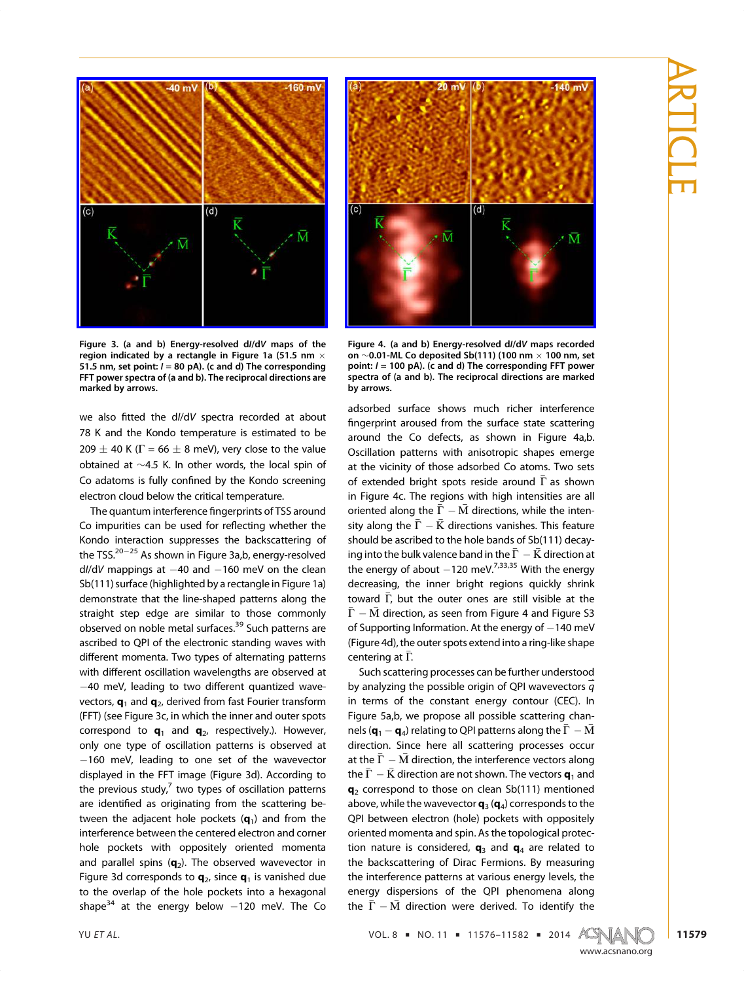

Figure 3. (a and b) Energy-resolved dI/dV maps of the region indicated by a rectangle in Figure 1a (51.5 nm  $\times$ 51.5 nm, set point:  $I = 80$  pA). (c and d) The corresponding FFT power spectra of (a and b). The reciprocal directions are marked by arrows.

we also fitted the dI/dV spectra recorded at about 78 K and the Kondo temperature is estimated to be 209  $\pm$  40 K ( $\Gamma$  = 66  $\pm$  8 meV), very close to the value obtained at ∼4.5 K. In other words, the local spin of Co adatoms is fully confined by the Kondo screening electron cloud below the critical temperature.

The quantum interference fingerprints of TSS around Co impurities can be used for reflecting whether the Kondo interaction suppresses the backscattering of the TSS. $20-25$  As shown in Figure 3a,b, energy-resolved  $d/dV$  mappings at  $-40$  and  $-160$  meV on the clean Sb(111) surface (highlighted by a rectangle in Figure 1a) demonstrate that the line-shaped patterns along the straight step edge are similar to those commonly observed on noble metal surfaces.<sup>39</sup> Such patterns are ascribed to QPI of the electronic standing waves with different momenta. Two types of alternating patterns with different oscillation wavelengths are observed at 40 meV, leading to two different quantized wavevectors,  $\mathbf{q}_1$  and  $\mathbf{q}_2$ , derived from fast Fourier transform (FFT) (see Figure 3c, in which the inner and outer spots correspond to  $\mathbf{q}_1$  and  $\mathbf{q}_2$ , respectively.). However, only one type of oscillation patterns is observed at  $-160$  meV, leading to one set of the wavevector displayed in the FFT image (Figure 3d). According to the previous study, $\frac{7}{7}$  two types of oscillation patterns are identified as originating from the scattering between the adjacent hole pockets  $(q_1)$  and from the interference between the centered electron and corner hole pockets with oppositely oriented momenta and parallel spins  $(q_2)$ . The observed wavevector in Figure 3d corresponds to  $q_2$ , since  $q_1$  is vanished due to the overlap of the hole pockets into a hexagonal shape<sup>34</sup> at the energy below  $-120$  meV. The Co



Figure 4. (a and b) Energy-resolved dI/dV maps recorded on ∼0.01-ML Co deposited Sb(111) (100 nm 100 nm, set point:  $I = 100$  pA). (c and d) The corresponding FFT power spectra of (a and b). The reciprocal directions are marked by arrows.

adsorbed surface shows much richer interference fingerprint aroused from the surface state scattering around the Co defects, as shown in Figure 4a,b. Oscillation patterns with anisotropic shapes emerge at the vicinity of those adsorbed Co atoms. Two sets of extended bright spots reside around  $\bar{\Gamma}$  as shown in Figure 4c. The regions with high intensities are all oriented along the  $\bar{\Gamma}-\bar{M}$  directions, while the intensity along the  $\bar{\Gamma}-\bar{\rm K}$  directions vanishes. This feature should be ascribed to the hole bands of Sb(111) decaying into the bulk valence band in the  $\bar{\Gamma}-\bar{\rm K}$  direction at the energy of about  $-120$  meV.<sup>7,33,35</sup> With the energy decreasing, the inner bright regions quickly shrink toward Γ, but the outer ones are still visible at the  $\bar{\Gamma}-\bar{\rm M}$  direction, as seen from Figure 4 and Figure S3 of Supporting Information. At the energy of  $-140$  meV (Figure 4d), the outer spots extend into a ring-like shape centering at  $\Gamma$ .

Such scattering processes can be further understood by analyzing the possible origin of QPI wavevectors  $\vec{\tilde{q}}$ in terms of the constant energy contour (CEC). In Figure 5a,b, we propose all possible scattering channels ( $\mathbf{q}_1 - \mathbf{q}_4$ ) relating to QPI patterns along the  $\bar{\Gamma} - \bar{M}$ direction. Since here all scattering processes occur at the  $\bar{\Gamma} - \bar{M}$  direction, the interference vectors along the  $\bar{\Gamma} - \bar{\rm K}$  direction are not shown. The vectors  ${\bf q}_1$  and  $q_2$  correspond to those on clean Sb(111) mentioned above, while the wavevector  $\mathbf{q}_3(\mathbf{q}_4)$  corresponds to the QPI between electron (hole) pockets with oppositely oriented momenta and spin. As the topological protection nature is considered,  $q_3$  and  $q_4$  are related to the backscattering of Dirac Fermions. By measuring the interference patterns at various energy levels, the energy dispersions of the QPI phenomena along the  $\bar{\Gamma} - \bar{M}$  direction were derived. To identify the

YU ET AL. VOL. 8 ' NO. 11 ' 11576–11582 ' 2014



www.accom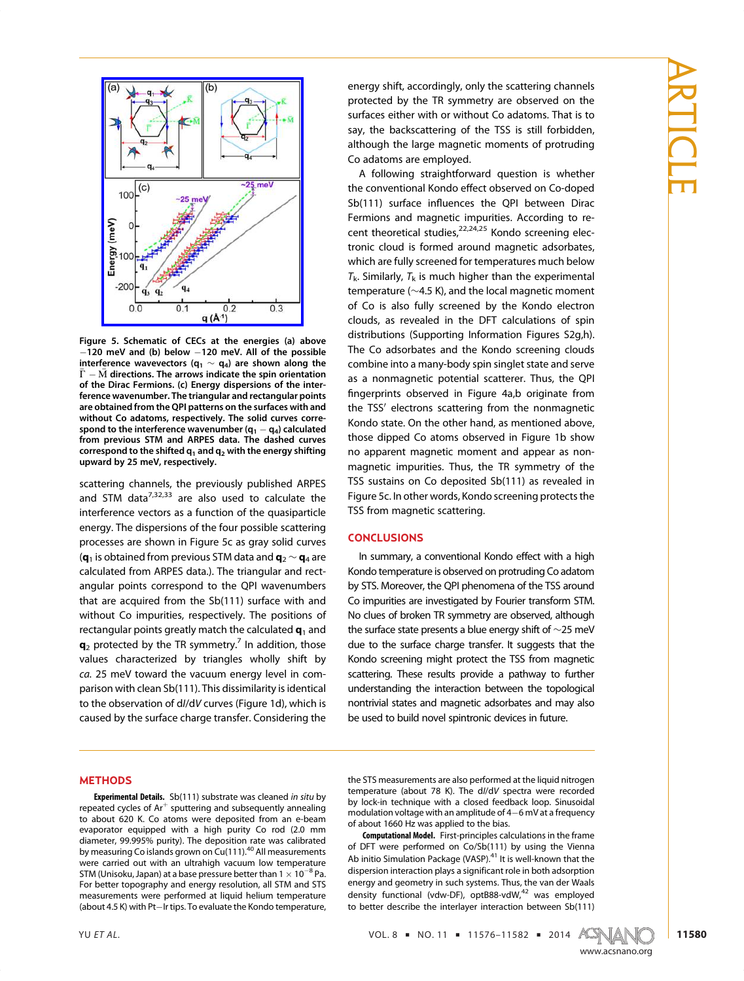

Figure 5. Schematic of CECs at the energies (a) above  $-120$  meV and (b) below  $-120$  meV. All of the possible interference wavevectors ( $q_1 \sim q_4$ ) are shown along the  $\Gamma-M$  directions. The arrows indicate the spin orientation of the Dirac Fermions. (c) Energy dispersions of the interference wavenumber. The triangular and rectangular points are obtained from the QPI patterns on the surfaces with and without Co adatoms, respectively. The solid curves correspond to the interference wavenumber  $(q_1 - q_4)$  calculated from previous STM and ARPES data. The dashed curves correspond to the shifted  $q_1$  and  $q_2$  with the energy shifting upward by 25 meV, respectively.

scattering channels, the previously published ARPES and STM data $^{7,32,33}$  are also used to calculate the interference vectors as a function of the quasiparticle energy. The dispersions of the four possible scattering processes are shown in Figure 5c as gray solid curves ( $\mathbf{q}_1$  is obtained from previous STM data and  $\mathbf{q}_2 \sim \mathbf{q}_4$  are calculated from ARPES data.). The triangular and rectangular points correspond to the QPI wavenumbers that are acquired from the Sb(111) surface with and without Co impurities, respectively. The positions of rectangular points greatly match the calculated  $q_1$  and  $q_2$  protected by the TR symmetry.<sup>7</sup> In addition, those values characterized by triangles wholly shift by ca. 25 meV toward the vacuum energy level in comparison with clean Sb(111). This dissimilarity is identical to the observation of dI/dV curves (Figure 1d), which is caused by the surface charge transfer. Considering the

#### METHODS

Experimental Details. Sb(111) substrate was cleaned in situ by repeated cycles of  $Ar^+$  sputtering and subsequently annealing to about 620 K. Co atoms were deposited from an e-beam evaporator equipped with a high purity Co rod (2.0 mm diameter, 99.995% purity). The deposition rate was calibrated by measuring Co islands grown on Cu(111).<sup>40</sup> All measurements were carried out with an ultrahigh vacuum low temperature STM (Unisoku, Japan) at a base pressure better than  $1 \times 10^{-8}$  Pa. For better topography and energy resolution, all STM and STS measurements were performed at liquid helium temperature (about 4.5 K) with Pt-Ir tips. To evaluate the Kondo temperature, energy shift, accordingly, only the scattering channels protected by the TR symmetry are observed on the surfaces either with or without Co adatoms. That is to say, the backscattering of the TSS is still forbidden, although the large magnetic moments of protruding Co adatoms are employed.

A following straightforward question is whether the conventional Kondo effect observed on Co-doped Sb(111) surface influences the QPI between Dirac Fermions and magnetic impurities. According to recent theoretical studies,<sup>22,24,25</sup> Kondo screening electronic cloud is formed around magnetic adsorbates, which are fully screened for temperatures much below  $T_k$ . Similarly,  $T_k$  is much higher than the experimental temperature (∼4.5 K), and the local magnetic moment of Co is also fully screened by the Kondo electron clouds, as revealed in the DFT calculations of spin distributions (Supporting Information Figures S2g,h). The Co adsorbates and the Kondo screening clouds combine into a many-body spin singlet state and serve as a nonmagnetic potential scatterer. Thus, the QPI fingerprints observed in Figure 4a,b originate from the TSS' electrons scattering from the nonmagnetic Kondo state. On the other hand, as mentioned above, those dipped Co atoms observed in Figure 1b show no apparent magnetic moment and appear as nonmagnetic impurities. Thus, the TR symmetry of the TSS sustains on Co deposited Sb(111) as revealed in Figure 5c. In other words, Kondo screening protects the TSS from magnetic scattering.

### CONCLUSIONS

In summary, a conventional Kondo effect with a high Kondo temperature is observed on protruding Co adatom by STS. Moreover, the QPI phenomena of the TSS around Co impurities are investigated by Fourier transform STM. No clues of broken TR symmetry are observed, although the surface state presents a blue energy shift of ∼25 meV due to the surface charge transfer. It suggests that the Kondo screening might protect the TSS from magnetic scattering. These results provide a pathway to further understanding the interaction between the topological nontrivial states and magnetic adsorbates and may also be used to build novel spintronic devices in future.

the STS measurements are also performed at the liquid nitrogen temperature (about 78 K). The dI/dV spectra were recorded by lock-in technique with a closed feedback loop. Sinusoidal modulation voltage with an amplitude of  $4-6$  mV at a frequency of about 1660 Hz was applied to the bias.

Computational Model. First-principles calculations in the frame of DFT were performed on Co/Sb(111) by using the Vienna Ab initio Simulation Package (VASP).<sup>41</sup> It is well-known that the dispersion interaction plays a significant role in both adsorption energy and geometry in such systems. Thus, the van der Waals density functional (vdw-DF), optB88-vdW,<sup>42</sup> was employed to better describe the interlayer interaction between Sb(111)

YU ET AL.  $\text{VOL. 8} = \text{NO. 11} = \text{11576}-\text{11582} = \text{2014} \quad \text{A} \quad \text{S}$ 

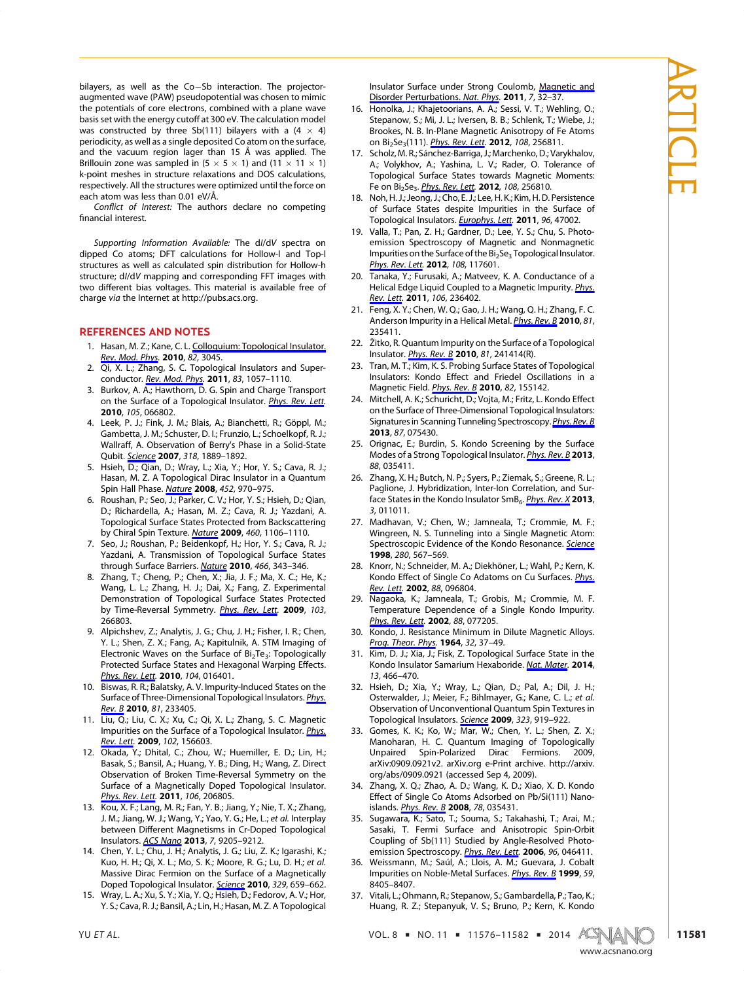bilayers, as well as the Co-Sb interaction. The projectoraugmented wave (PAW) pseudopotential was chosen to mimic the potentials of core electrons, combined with a plane wave basis set with the energy cutoff at 300 eV. The calculation model was constructed by three Sb(111) bilayers with a  $(4 \times 4)$ periodicity, as well as a single deposited Co atom on the surface, and the vacuum region lager than 15 Å was applied. The Brillouin zone was sampled in  $(5 \times 5 \times 1)$  and  $(11 \times 11 \times 1)$ k-point meshes in structure relaxations and DOS calculations, respectively. All the structures were optimized until the force on each atom was less than 0.01 eV/Å.

Conflict of Interest: The authors declare no competing financial interest.

Supporting Information Available: The dI/dV spectra on dipped Co atoms; DFT calculations for Hollow-l and Top-l structures as well as calculated spin distribution for Hollow-h structure; dI/dV mapping and corresponding FFT images with two different bias voltages. This material is available free of charge via the Internet at http://pubs.acs.org.

#### REFERENCES AND NOTES

- 1. Hasan, M. Z.; Kane, C. L. Colloquium: Topological Insulator. Rev. Mod. Phys. 2010, 82[, 3045.](http://pubs.acs.org/action/showLinks?crossref=10.1103%2FRevModPhys.82.3045&coi=1%3ACAS%3A528%3ADC%252BC3MXht1Kgsg%253D%253D)
- 2. [Qi, X. L.; Zhan](http://pubs.acs.org/action/showLinks?crossref=10.1103%2FRevModPhys.82.3045&coi=1%3ACAS%3A528%3ADC%252BC3MXht1Kgsg%253D%253D)g, S. C. Topological Insulators and Superconductor. Rev. Mod. Phys. 2011, 83, 1057-1110.
- 3. Burkov, A. [A.; Hawthorn, D](http://pubs.acs.org/action/showLinks?crossref=10.1103%2FRevModPhys.83.1057&coi=1%3ACAS%3A528%3ADC%252BC38Xjt1Squg%253D%253D). G. Spin and Charge Transport on the Surface of a Topological Insulator. [Phys. Rev. Lett](http://pubs.acs.org/action/showLinks?crossref=10.1103%2FPhysRevLett.105.066802&coi=1%3ACAS%3A528%3ADC%252BC3cXhtVyrsL7O). 2010, 105, 066802.
- 4. Leek, P. J.; Fink, J. M.; Blais, A.; Bianchetti, R.; Göppl, M.; Gambetta, J. M.; Schuster, D. I.; Frunzio, L.; Schoelkopf, R. J.; Wallraff, A. Observation of Berry's Phase in a Solid-State Qubit. Science 2007, 318, 1889-1892.
- 5. Hsieh, [D.; Qian](http://pubs.acs.org/action/showLinks?pmid=18033851&crossref=10.1126%2Fscience.1149858&coi=1%3ACAS%3A528%3ADC%252BD2sXhsVGjsLnO), D.; Wray, L.; Xia, Y.; Hor, Y. S.; Cava, R. J.; Hasan, M. Z. A Topological Dirac Insulator in a Quantum Spin Hall Phase. Nature 2008, 452, 970-975.
- 6. Roushan, P.; Seo[, J.; Park](http://pubs.acs.org/action/showLinks?pmid=18432240&crossref=10.1038%2Fnature06843&coi=1%3ACAS%3A528%3ADC%252BD1cXltVGrt7w%253D)er, C. V.; Hor, Y. S.; Hsieh, D.; Qian, D.; Richardella, A.; Hasan, M. Z.; Cava, R. J.; Yazdani, A. Topological Surface States Protected from Backscattering by Chiral Spin Texture. Nature 2009, 460, 1106-1110.
- 7. Seo, J.; Roushan, P.; Be[idenko](http://pubs.acs.org/action/showLinks?pmid=19668187&crossref=10.1038%2Fnature08308&coi=1%3ACAS%3A528%3ADC%252BD1MXps1ahtrc%253D)pf, H.; Hor, Y. S.; Cava, R. J.; Yazdani, A. Transmission of Topological Surface States through Surface Barriers. Nature 2010, 466, 343-346.
- 8. Zhang, T.; Cheng, P.; Ch[en, X.; J](http://pubs.acs.org/action/showLinks?pmid=20631794&crossref=10.1038%2Fnature09189&coi=1%3ACAS%3A528%3ADC%252BC3cXosl2kuro%253D)ia, J. F.; Ma, X. C.; He, K.; Wang, L. L.; Zhang, H. J.; Dai, X.; Fang, Z. Experimental Demonstration of Topological Surface States Protected by Time-Reversal Symmetry. [Phys.](http://pubs.acs.org/action/showLinks?pmid=20366330&crossref=10.1103%2FPhysRevLett.103.266803&coi=1%3ACAS%3A528%3ADC%252BC3cXhvFaqtw%253D%253D) [Rev.](http://pubs.acs.org/action/showLinks?pmid=20366330&crossref=10.1103%2FPhysRevLett.103.266803&coi=1%3ACAS%3A528%3ADC%252BC3cXhvFaqtw%253D%253D) [Lett](http://pubs.acs.org/action/showLinks?pmid=20366330&crossref=10.1103%2FPhysRevLett.103.266803&coi=1%3ACAS%3A528%3ADC%252BC3cXhvFaqtw%253D%253D). 2009, 103, 266803.
- 9. Alpichshev, Z.; Analytis, J. G.; Chu, J. H.; Fisher, I. R.; Chen, Y. L.; Shen, Z. X.; Fang, A.; Kapitulnik, A. STM Imaging of Electronic Waves on the Surface of  $Bi<sub>2</sub>Te<sub>3</sub>$ : Topologically Protected Surface States and Hexagonal Warping Effects. Phys. Rev. Lett. 2010, 104, 016401.
- 10. [Biswas, R. R.; Ba](http://pubs.acs.org/action/showLinks?crossref=10.1103%2FPhysRevLett.104.016401&coi=1%3ACAS%3A528%3ADC%252BC3cXhtlKgtr4%253D)latsky, A. V. Impurity-Induced States on the Surface of Three-Dimensional Topological Insulators. [Phys.](http://pubs.acs.org/action/showLinks?crossref=10.1103%2FPhysRevB.81.233405&coi=1%3ACAS%3A528%3ADC%252BC3cXosVymu7c%253D) Rev. B 2010, 81, 233405.
- 11. [Liu, Q](http://pubs.acs.org/action/showLinks?crossref=10.1103%2FPhysRevB.81.233405&coi=1%3ACAS%3A528%3ADC%252BC3cXosVymu7c%253D).; Liu, C. X.; Xu, C.; Qi, X. L.; Zhang, S. C. Magnetic Impurities on the Surface of a Topological Insulator. *Phys.* Rev. Lett. 2009, 102, 156603.
- 12. [Okada, Y](http://pubs.acs.org/action/showLinks?pmid=19518663&crossref=10.1103%2FPhysRevLett.102.156603&coi=1%3ACAS%3A528%3ADC%252BD1MXkslKntb0%253D).; Dhital, C.; Zhou, W.; Huemiller, E. D.; Lin, H.; Basak, S.; Bansil, A.; Huang, Y. B.; Ding, H.; Wang, Z. Direct Observation of Broken Time-Reversal Symmetry on the Surface of a Magnetically Doped Topological Insulator. Phys. Rev. Lett. 2011, 106, 206805.
- 13. [Kou, X. F.; Lang](http://pubs.acs.org/action/showLinks?pmid=21668255&crossref=10.1103%2FPhysRevLett.106.206805&coi=1%3ACAS%3A528%3ADC%252BC3MXns1Srurk%253D), M. R.; Fan, Y. B.; Jiang, Y.; Nie, T. X.; Zhang, J. M.; Jiang, W. J.; Wang, Y.; Yao, Y. G.; He, L.; et al. Interplay between Different Magnetisms in Cr-Doped Topological Insulators. ACS Nano 2013, 7, 9205-9212.
- 14. Chen, Y. L.[; Chu, J. H.](http://pubs.acs.org/action/showLinks?system=10.1021%2Fnn4038145&coi=1%3ACAS%3A528%3ADC%252BC3sXhsFWlu7jL); Analytis, J. G.; Liu, Z. K.; Igarashi, K.; Kuo, H. H.; Qi, X. L.; Mo, S. K.; Moore, R. G.; Lu, D. H.; et al. Massive Dirac Fermion on the Surface of a Magnetically Doped Topological Insulator. Science 2010, 329, 659–662.
- 15. Wray, L. A.; Xu, S. Y.; Xia, Y. Q.; [Hsieh, D](http://pubs.acs.org/action/showLinks?pmid=20689013&crossref=10.1126%2Fscience.1189924&coi=1%3ACAS%3A528%3ADC%252BC3cXps1ehtLo%253D).; Fedorov, A. V.; Hor, Y. S.; Cava, R. J.; Bansil, A.; Lin, H.; Hasan, M. Z. A Topological

Insulator Surface under Strong Coulomb, Magnetic and Disorder Perturbations. Nat. Phys. 2011, 7, 32-[37.](http://pubs.acs.org/action/showLinks?crossref=10.1038%2Fnphys1838&coi=1%3ACAS%3A528%3ADC%252BC3cXhsF2gs7zI)

- 16. [Honolka, J.; Khajetoorians, A. A.;](http://pubs.acs.org/action/showLinks?crossref=10.1038%2Fnphys1838&coi=1%3ACAS%3A528%3ADC%252BC3cXhsF2gs7zI) Sessi, V. T.; Wehling, O.; Stepanow, S.; Mi, J. L.; Iversen, B. B.; Schlenk, T.; Wiebe, J.; Brookes, N. B. In-Plane Magnetic Anisotropy of Fe Atoms on Bi<sub>2</sub>Se<sub>3</sub>(111). *Phys. Rev. Lett.* 2012, 108, 256811.
- 17. Scholz, M. R.; Sá[nchez-Barriga, J](http://pubs.acs.org/action/showLinks?pmid=23004640&crossref=10.1103%2FPhysRevLett.108.256811&coi=1%3ACAS%3A528%3ADC%252BC38XhtVCrtrzI).; Marchenko, D.; Varykhalov, A.; Volykhov, A.; Yashina, L. V.; Rader, O. Tolerance of Topological Surface States towards Magnetic Moments: Fe on Bi<sub>2</sub>Se<sub>3</sub>. *Phys. Rev. Lett.* **2012**, 108, 256810.
- 18. Noh, H. J.; Jeo[ng, J.; Cho, E. J.;](http://pubs.acs.org/action/showLinks?pmid=23004639&crossref=10.1103%2FPhysRevLett.108.256810&coi=1%3ACAS%3A528%3ADC%252BC38XhtVCrtrzO) Lee, H. K.; Kim, H. D. Persistence of Surface States despite Impurities in the Surface of Topological Insulators. *Europhys. Lett.* 2011, 96, 47002.
- 19. Valla, T.; Pan, Z. H.; Ga[rdner, D.; Lee,](http://pubs.acs.org/action/showLinks?crossref=10.1209%2F0295-5075%2F96%2F47002) Y. S.; Chu, S. Photoemission Spectroscopy of Magnetic and Nonmagnetic Impurities on the Surface of the Bi<sub>2</sub>Se<sub>3</sub> Topological Insulator. Phys. Rev. Lett. 2012, 108, 117601.
- 20. [Tanaka, Y.; Fu](http://pubs.acs.org/action/showLinks?pmid=22540510&crossref=10.1103%2FPhysRevLett.108.117601&coi=1%3ACAS%3A528%3ADC%252BC38XpvVyrurg%253D)rusaki, A.; Matveev, K. A. Conductance of a Helical Edge Liquid Coupled to a Magnetic Impurity. *Phys.* Rev. Lett. 2011, 106, 236402.
- 21. [Feng, X.](http://pubs.acs.org/action/showLinks?pmid=21770526&crossref=10.1103%2FPhysRevLett.106.236402&coi=1%3ACAS%3A528%3ADC%252BC3MXot1OltLs%253D) Y.; Chen, W. Q.; Gao, J. H.; Wang, Q. H.; Zhang, F. C. Anderson Impurity in a Helical Metal. [Phys.](http://pubs.acs.org/action/showLinks?crossref=10.1103%2FPhysRevB.81.235411&coi=1%3ACAS%3A528%3ADC%252BC3cXosVyms7s%253D) [Rev.](http://pubs.acs.org/action/showLinks?crossref=10.1103%2FPhysRevB.81.235411&coi=1%3ACAS%3A528%3ADC%252BC3cXosVyms7s%253D) [B](http://pubs.acs.org/action/showLinks?crossref=10.1103%2FPhysRevB.81.235411&coi=1%3ACAS%3A528%3ADC%252BC3cXosVyms7s%253D) 2010, 81, 235411.
- 22. Žitko, R. Quantum Impurity on the Surface of a Topological Insulator. *Phys. Rev. B* 2010, 81, 241414(R).
- 23. Tran, M. T[.; Kim, K. S. P](http://pubs.acs.org/action/showLinks?crossref=10.1103%2FPhysRevB.81.241414&coi=1%3ACAS%3A528%3ADC%252BC3cXosVyhsr4%253D)robing Surface States of Topological Insulators: Kondo Effect and Friedel Oscillations in a Magnetic Field. *Phys. Rev. B* 2010, 82, 155142.
- 24. Mitchell, A. K.; S[churicht, D.;](http://pubs.acs.org/action/showLinks?crossref=10.1103%2FPhysRevB.82.155142&coi=1%3ACAS%3A528%3ADC%252BC3cXhtlKlt7vN) Vojta, M.; Fritz, L. Kondo Effect on the Surface of Three-Dimensional Topological Insulators: Signatures in Scanning Tunneling Spectroscopy. [Phys.](http://pubs.acs.org/action/showLinks?crossref=10.1103%2FPhysRevB.87.075430&coi=1%3ACAS%3A528%3ADC%252BC3sXls1agurk%253D) [Rev.](http://pubs.acs.org/action/showLinks?crossref=10.1103%2FPhysRevB.87.075430&coi=1%3ACAS%3A528%3ADC%252BC3sXls1agurk%253D) [B](http://pubs.acs.org/action/showLinks?crossref=10.1103%2FPhysRevB.87.075430&coi=1%3ACAS%3A528%3ADC%252BC3sXls1agurk%253D) 2013, 87, 075430.
- 25. Orignac, E.; Burdin, S. Kondo Screening by the Surface Modes of a Strong Topological Insulator. *[Phys. Rev. B](http://pubs.acs.org/action/showLinks?crossref=10.1103%2FPhysRevB.88.035411&coi=1%3ACAS%3A528%3ADC%252BC3sXhtl2lsL%252FI)* 2013, 88, 035411.
- 26. Zhang, X. H.; Butch, N. P.; Syers, P.; Ziemak, S.; Greene, R. L.; Paglione, J. Hybridization, Inter-Ion Correlation, and Surface States in the Kondo Insulator SmB<sub>6</sub>. *[Phys.](http://pubs.acs.org/action/showLinks?coi=1%3ACAS%3A528%3ADC%252BC3sXivFGmur4%253D) [Rev.](http://pubs.acs.org/action/showLinks?coi=1%3ACAS%3A528%3ADC%252BC3sXivFGmur4%253D) [X](http://pubs.acs.org/action/showLinks?coi=1%3ACAS%3A528%3ADC%252BC3sXivFGmur4%253D)* 2013, 3, 011011.
- 27. Madhavan, V.; Chen, W.; Jamneala, T.; Crommie, M. F.; Wingreen, N. S. Tunneling into a Single Magnetic Atom: Spectroscopic Evidence of the Kondo Resonance. [Science](http://pubs.acs.org/action/showLinks?pmid=9554843&crossref=10.1126%2Fscience.280.5363.567&coi=1%3ACAS%3A528%3ADyaK1cXjtVWrtLo%253D) 1998, 280, 567–569.
- 28. Knorr, N.; Schneider, M. A.; Diekhöner, L.; Wahl, P.; Kern, K. Kondo Effect of Single Co Adatoms on Cu Surfaces. [Phys.](http://pubs.acs.org/action/showLinks?crossref=10.1103%2FPhysRevLett.88.096804&coi=1%3ACAS%3A528%3ADC%252BD38XhsVClsrs%253D) Rev. Lett. 2002, 88, 096804.
- 29. [Nagaoka](http://pubs.acs.org/action/showLinks?crossref=10.1103%2FPhysRevLett.88.096804&coi=1%3ACAS%3A528%3ADC%252BD38XhsVClsrs%253D), K.; Jamneala, T.; Grobis, M.; Crommie, M. F. Temperature Dependence of a Single Kondo Impurity. Phys. Rev. Lett. **2002**, 88, 077205.
- 30. [Kondo, J. Resis](http://pubs.acs.org/action/showLinks?crossref=10.1103%2FPhysRevLett.88.077205&coi=1%3ACAS%3A280%3ADC%252BD387ivFartA%253D%253D)tance Minimum in Dilute Magnetic Alloys. Prog. Theor. Phys. 1964, 32, 37-49.
- 31. [Kim, D. J.; Xia, J.;](http://pubs.acs.org/action/showLinks?crossref=10.1143%2FPTP.32.37&coi=1%3ACAS%3A528%3ADyaF2cXksFyntrg%253D) Fisk, Z. Topological Surface State in the Kondo Insulator Samarium Hexaboride. [Nat.](http://pubs.acs.org/action/showLinks?pmid=24658115&crossref=10.1038%2Fnmat3913&coi=1%3ACAS%3A528%3ADC%252BC2cXks1Kgt7k%253D) [Mater.](http://pubs.acs.org/action/showLinks?pmid=24658115&crossref=10.1038%2Fnmat3913&coi=1%3ACAS%3A528%3ADC%252BC2cXks1Kgt7k%253D) 2014, 13, 466–470.
- 32. Hsieh, D.; Xia, Y.; Wray, L.; Qian, D.; Pal, A.; Dil, J. H.; Osterwalder, J.; Meier, F.; Bihlmayer, G.; Kane, C. L.; et al. Observation of Unconventional Quantum Spin Textures in Topological Insulators. Science 2009, 323, 919-922.
- 33. Gomes, K. K.; Ko, W.; [Mar, W](http://pubs.acs.org/action/showLinks?pmid=19213915&crossref=10.1126%2Fscience.1167733&coi=1%3ACAS%3A528%3ADC%252BD1MXhslSgsLY%253D).; Chen, Y. L.; Shen, Z. X.; Manoharan, H. C. Quantum Imaging of Topologically Unpaired Spin-Polarized Dirac Fermions. 2009, arXiv:0909.0921v2. arXiv.org e-Print archive. http://arxiv. org/abs/0909.0921 (accessed Sep 4, 2009).
- 34. Zhang, X. Q.; Zhao, A. D.; Wang, K. D.; Xiao, X. D. Kondo Effect of Single Co Atoms Adsorbed on Pb/Si(111) Nanoislands. *Phys. Rev. B* 2008, 78, 035431.
- 35. Sugawa[ra, K.; Sato,](http://pubs.acs.org/action/showLinks?crossref=10.1103%2FPhysRevB.78.035431&coi=1%3ACAS%3A528%3ADC%252BD1cXptlOksrk%253D) T.; Souma, S.; Takahashi, T.; Arai, M.; Sasaki, T. Fermi Surface and Anisotropic Spin-Orbit Coupling of Sb(111) Studied by Angle-Resolved Photoemission Spectroscopy. *Phys. Rev. Lett.* 2006, 96, 046411.
- 36. Weissmann, M.; Saúl, A[.; Llois, A. M.;](http://pubs.acs.org/action/showLinks?crossref=10.1103%2FPhysRevLett.96.046411&coi=1%3ACAS%3A528%3ADC%252BD28XhtFCht7c%253D) Guevara, J. Cobalt Impurities on Noble-Metal Surfaces. [Phys. Rev. B](http://pubs.acs.org/action/showLinks?crossref=10.1103%2FPhysRevB.59.8405&coi=1%3ACAS%3A528%3ADyaK1MXitFOhtb8%253D) 1999, 59, 8405–8407.
- 37. Vitali, L.; Ohmann, R.; Stepanow, S.; Gambardella, P.; Tao, K.; Huang, R. Z.; Stepanyuk, V. S.; Bruno, P.; Kern, K. Kondo